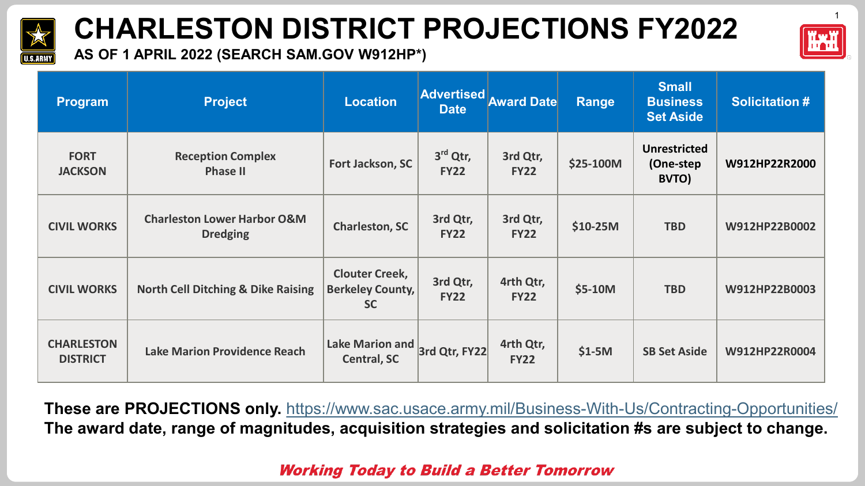

**AS OF 1 APRIL 2022 (SEARCH SAM.GOV W912HP\*)** 

| <b>Program</b>                       | <b>Project</b>                                            | <b>Location</b>                                               | <b>Advertised</b><br><b>Date</b> | <b>Award Date</b>        | Range     | <b>Small</b><br><b>Business</b><br><b>Set Aside</b> | <b>Solicitation#</b> |
|--------------------------------------|-----------------------------------------------------------|---------------------------------------------------------------|----------------------------------|--------------------------|-----------|-----------------------------------------------------|----------------------|
| <b>FORT</b><br><b>JACKSON</b>        | <b>Reception Complex</b><br><b>Phase II</b>               | Fort Jackson, SC                                              | $3rd$ Qtr,<br><b>FY22</b>        | 3rd Qtr,<br><b>FY22</b>  | \$25-100M | <b>Unrestricted</b><br>(One-step<br>BVTO)           | W912HP22R2000        |
| <b>CIVIL WORKS</b>                   | <b>Charleston Lower Harbor O&amp;M</b><br><b>Dredging</b> | <b>Charleston, SC</b>                                         | 3rd Qtr,<br><b>FY22</b>          | 3rd Qtr,<br><b>FY22</b>  | $$10-25M$ | <b>TBD</b>                                          | W912HP22B0002        |
| <b>CIVIL WORKS</b>                   | <b>North Cell Ditching &amp; Dike Raising</b>             | <b>Clouter Creek,</b><br><b>Berkeley County,</b><br><b>SC</b> | 3rd Qtr,<br><b>FY22</b>          | 4rth Qtr,<br><b>FY22</b> | \$5-10M   | <b>TBD</b>                                          | W912HP22B0003        |
| <b>CHARLESTON</b><br><b>DISTRICT</b> | <b>Lake Marion Providence Reach</b>                       | Lake Marion and<br><b>Central, SC</b>                         | 3rd Qtr, FY22                    | 4rth Qtr,<br><b>FY22</b> | $$1-5M$   | <b>SB Set Aside</b>                                 | W912HP22R0004        |

**These are PROJECTIONS only.** <https://www.sac.usace.army.mil/Business-With-Us/Contracting-Opportunities/> **The award date, range of magnitudes, acquisition strategies and solicitation #s are subject to change.**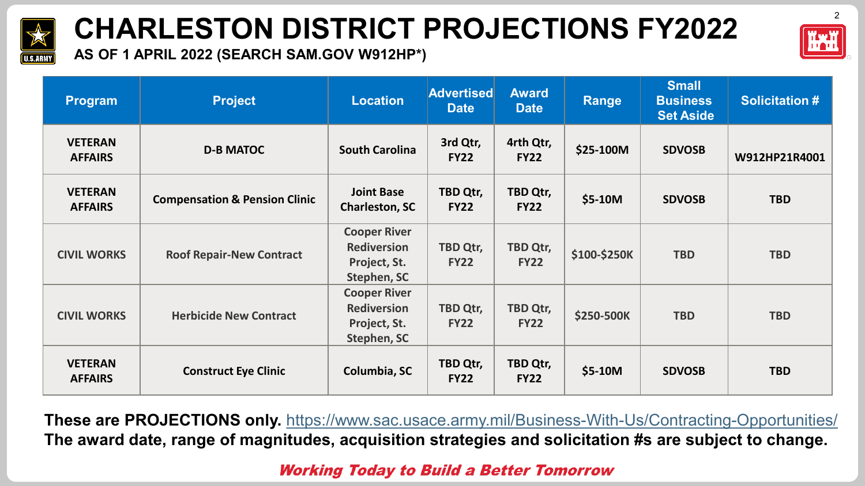



**AS OF 1 APRIL 2022 (SEARCH SAM.GOV W912HP\*)** 

| <b>Program</b>                   | <b>Project</b>                           | <b>Location</b>                                                          | <b>Advertised</b><br><b>Date</b> | <b>Award</b><br><b>Date</b> | <b>Range</b>      | <b>Small</b><br><b>Business</b><br><b>Set Aside</b> | <b>Solicitation#</b> |
|----------------------------------|------------------------------------------|--------------------------------------------------------------------------|----------------------------------|-----------------------------|-------------------|-----------------------------------------------------|----------------------|
| <b>VETERAN</b><br><b>AFFAIRS</b> | <b>D-B MATOC</b>                         | <b>South Carolina</b>                                                    | 3rd Qtr,<br><b>FY22</b>          | 4rth Qtr,<br><b>FY22</b>    | \$25-100M         | <b>SDVOSB</b>                                       | W912HP21R4001        |
| <b>VETERAN</b><br><b>AFFAIRS</b> | <b>Compensation &amp; Pension Clinic</b> | <b>Joint Base</b><br><b>Charleston, SC</b>                               | TBD Qtr,<br><b>FY22</b>          | TBD Qtr,<br><b>FY22</b>     | \$5-10M           | <b>SDVOSB</b>                                       | <b>TBD</b>           |
| <b>CIVIL WORKS</b>               | <b>Roof Repair-New Contract</b>          | <b>Cooper River</b><br><b>Rediversion</b><br>Project, St.<br>Stephen, SC | <b>TBD Qtr,</b><br><b>FY22</b>   | TBD Qtr,<br><b>FY22</b>     | \$100-\$250K      | <b>TBD</b>                                          | <b>TBD</b>           |
| <b>CIVIL WORKS</b>               | <b>Herbicide New Contract</b>            | <b>Cooper River</b><br><b>Rediversion</b><br>Project, St.<br>Stephen, SC | TBD Qtr,<br><b>FY22</b>          | TBD Qtr,<br><b>FY22</b>     | <b>\$250-500K</b> | <b>TBD</b>                                          | <b>TBD</b>           |
| <b>VETERAN</b><br><b>AFFAIRS</b> | <b>Construct Eye Clinic</b>              | Columbia, SC                                                             | TBD Qtr,<br><b>FY22</b>          | TBD Qtr,<br><b>FY22</b>     | \$5-10M           | <b>SDVOSB</b>                                       | <b>TBD</b>           |

**These are PROJECTIONS only.** <https://www.sac.usace.army.mil/Business-With-Us/Contracting-Opportunities/> **The award date, range of magnitudes, acquisition strategies and solicitation #s are subject to change.**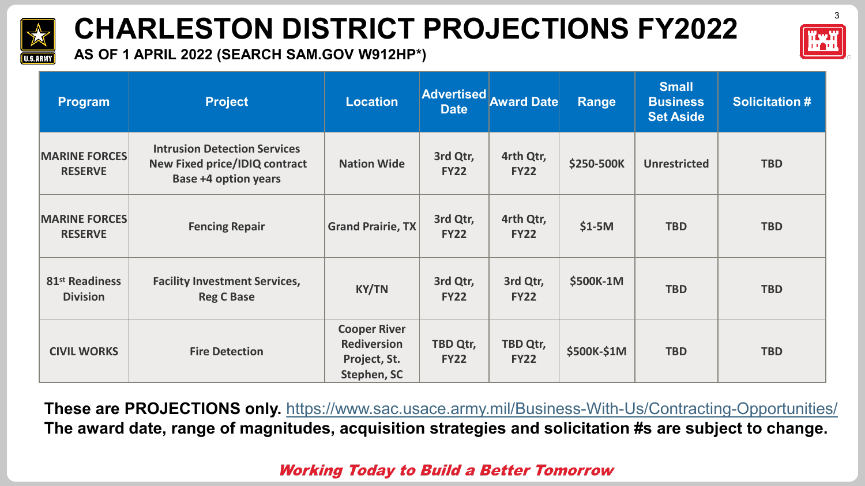



**AS OF 1 APRIL 2022 (SEARCH SAM.GOV W912HP\*)** 

| Program                                       | <b>Project</b>                                                                                             | <b>Location</b>                                                                 | <b>Advertised</b><br><b>Date</b> | <b>Award Date</b>        | Range              | <b>Small</b><br><b>Business</b><br><b>Set Aside</b> | <b>Solicitation #</b> |
|-----------------------------------------------|------------------------------------------------------------------------------------------------------------|---------------------------------------------------------------------------------|----------------------------------|--------------------------|--------------------|-----------------------------------------------------|-----------------------|
| <b>MARINE FORCES</b><br><b>RESERVE</b>        | <b>Intrusion Detection Services</b><br><b>New Fixed price/IDIQ contract</b><br><b>Base +4 option years</b> | <b>Nation Wide</b>                                                              | 3rd Qtr,<br><b>FY22</b>          | 4rth Qtr,<br><b>FY22</b> | <b>\$250-500K</b>  | <b>Unrestricted</b>                                 | <b>TBD</b>            |
| <b>MARINE FORCES</b><br><b>RESERVE</b>        | <b>Fencing Repair</b>                                                                                      | <b>Grand Prairie, TX</b>                                                        | 3rd Qtr,<br><b>FY22</b>          | 4rth Qtr,<br><b>FY22</b> | $$1-5M$            | <b>TBD</b>                                          | <b>TBD</b>            |
| 81 <sup>st</sup> Readiness<br><b>Division</b> | <b>Facility Investment Services,</b><br><b>Reg C Base</b>                                                  | <b>KY/TN</b>                                                                    | 3rd Qtr,<br><b>FY22</b>          | 3rd Qtr,<br><b>FY22</b>  | \$500K-1M          | <b>TBD</b>                                          | <b>TBD</b>            |
| <b>CIVIL WORKS</b>                            | <b>Fire Detection</b>                                                                                      | <b>Cooper River</b><br><b>Rediversion</b><br>Project, St.<br><b>Stephen, SC</b> | TBD Qtr,<br><b>FY22</b>          | TBD Qtr,<br><b>FY22</b>  | <b>\$500K-\$1M</b> | <b>TBD</b>                                          | <b>TBD</b>            |

**These are PROJECTIONS only.** <https://www.sac.usace.army.mil/Business-With-Us/Contracting-Opportunities/> **The award date, range of magnitudes, acquisition strategies and solicitation #s are subject to change.**